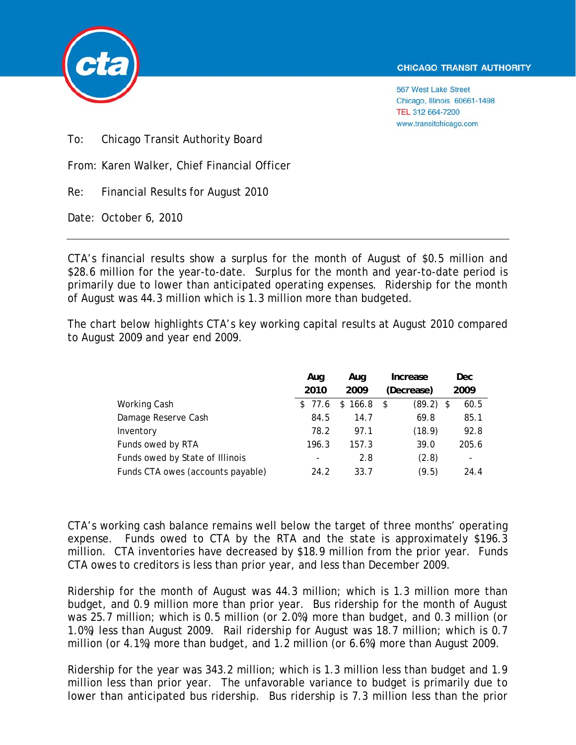

567 West Lake Street Chicago, Illinois 60661-1498 TEL 312 664-7200 www.transitchicago.com

To: Chicago Transit Authority Board

From: Karen Walker, Chief Financial Officer

Re: Financial Results for August 2010

Date: October 6, 2010

CTA's financial results show a surplus for the month of August of \$0.5 million and \$28.6 million for the year-to-date. Surplus for the month and year-to-date period is primarily due to lower than anticipated operating expenses. Ridership for the month of August was 44.3 million which is 1.3 million more than budgeted.

The chart below highlights CTA's key working capital results at August 2010 compared to August 2009 and year end 2009.

|                                   | Aug    | Aug     | Increase      | Dec                      |
|-----------------------------------|--------|---------|---------------|--------------------------|
|                                   | 2010   | 2009    | (Decrease)    | 2009                     |
| Working Cash                      | \$77.6 | \$166.8 | (89.2)<br>-\$ | 60.5<br>- \$             |
| Damage Reserve Cash               | 84.5   | 14.7    | 69.8          | 85.1                     |
| Inventory                         | 78.2   | 97.1    | (18.9)        | 92.8                     |
| Funds owed by RTA                 | 196.3  | 157.3   | 39.0          | 205.6                    |
| Funds owed by State of Illinois   | -      | 2.8     | (2.8)         | $\overline{\phantom{a}}$ |
| Funds CTA owes (accounts payable) | 24.2   | 33.7    | (9.5)         | 24.4                     |

CTA's working cash balance remains well below the target of three months' operating expense. Funds owed to CTA by the RTA and the state is approximately \$196.3 million. CTA inventories have decreased by \$18.9 million from the prior year. Funds CTA owes to creditors is less than prior year, and less than December 2009.

Ridership for the month of August was 44.3 million; which is 1.3 million more than budget, and 0.9 million more than prior year. Bus ridership for the month of August was 25.7 million; which is 0.5 million (or 2.0%) more than budget, and 0.3 million (or 1.0%) less than August 2009. Rail ridership for August was 18.7 million; which is 0.7 million (or 4.1%) more than budget, and 1.2 million (or 6.6%) more than August 2009.

Ridership for the year was 343.2 million; which is 1.3 million less than budget and 1.9 million less than prior year. The unfavorable variance to budget is primarily due to lower than anticipated bus ridership. Bus ridership is 7.3 million less than the prior

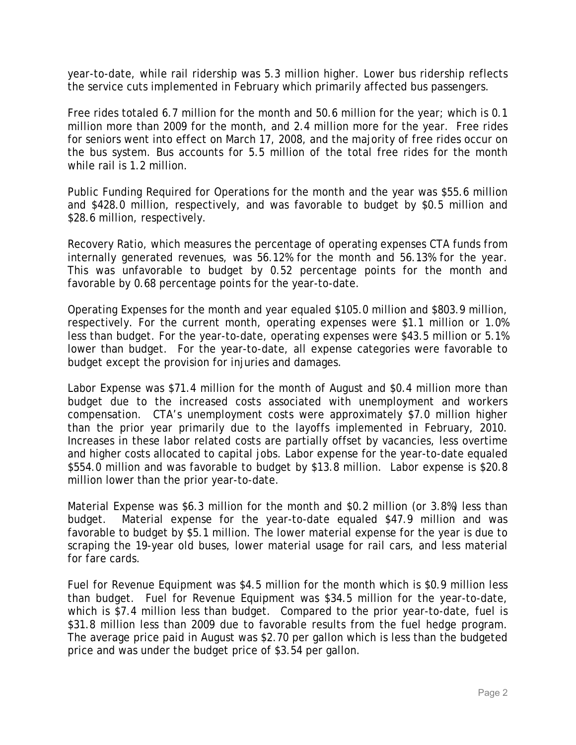year-to-date, while rail ridership was 5.3 million higher. Lower bus ridership reflects the service cuts implemented in February which primarily affected bus passengers.

Free rides totaled 6.7 million for the month and 50.6 million for the year; which is 0.1 million more than 2009 for the month, and 2.4 million more for the year. Free rides for seniors went into effect on March 17, 2008, and the majority of free rides occur on the bus system. Bus accounts for 5.5 million of the total free rides for the month while rail is 1.2 million.

Public Funding Required for Operations for the month and the year was \$55.6 million and \$428.0 million, respectively, and was favorable to budget by \$0.5 million and \$28.6 million, respectively.

Recovery Ratio, which measures the percentage of operating expenses CTA funds from internally generated revenues, was 56.12% for the month and 56.13% for the year. This was unfavorable to budget by 0.52 percentage points for the month and favorable by 0.68 percentage points for the year-to-date.

Operating Expenses for the month and year equaled \$105.0 million and \$803.9 million, respectively. For the current month, operating expenses were \$1.1 million or 1.0% less than budget. For the year-to-date, operating expenses were \$43.5 million or 5.1% lower than budget. For the year-to-date, all expense categories were favorable to budget except the provision for injuries and damages.

Labor Expense was \$71.4 million for the month of August and \$0.4 million more than budget due to the increased costs associated with unemployment and workers compensation. CTA's unemployment costs were approximately \$7.0 million higher than the prior year primarily due to the layoffs implemented in February, 2010. Increases in these labor related costs are partially offset by vacancies, less overtime and higher costs allocated to capital jobs. Labor expense for the year-to-date equaled \$554.0 million and was favorable to budget by \$13.8 million. Labor expense is \$20.8 million lower than the prior year-to-date.

Material Expense was \$6.3 million for the month and \$0.2 million (or 3.8%) less than budget. Material expense for the year-to-date equaled \$47.9 million and was favorable to budget by \$5.1 million. The lower material expense for the year is due to scraping the 19-year old buses, lower material usage for rail cars, and less material for fare cards.

Fuel for Revenue Equipment was \$4.5 million for the month which is \$0.9 million less than budget. Fuel for Revenue Equipment was \$34.5 million for the year-to-date, which is \$7.4 million less than budget. Compared to the prior year-to-date, fuel is \$31.8 million less than 2009 due to favorable results from the fuel hedge program. The average price paid in August was \$2.70 per gallon which is less than the budgeted price and was under the budget price of \$3.54 per gallon.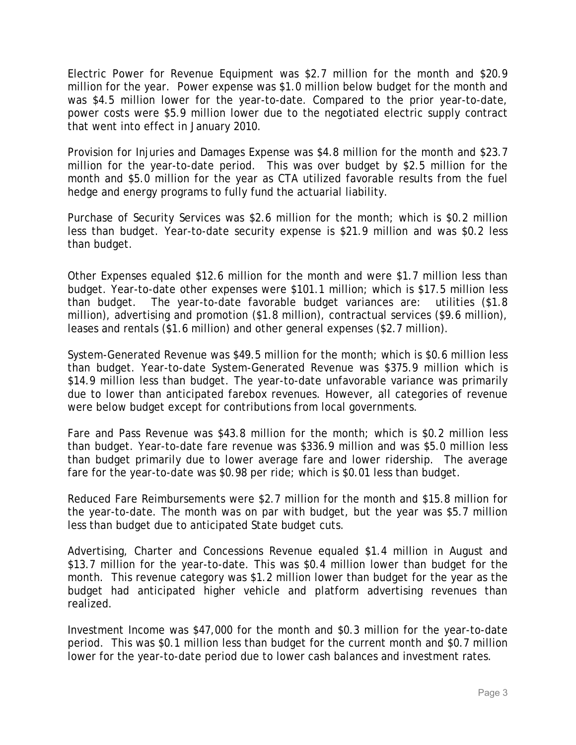Electric Power for Revenue Equipment was \$2.7 million for the month and \$20.9 million for the year. Power expense was \$1.0 million below budget for the month and was \$4.5 million lower for the year-to-date. Compared to the prior year-to-date, power costs were \$5.9 million lower due to the negotiated electric supply contract that went into effect in January 2010.

Provision for Injuries and Damages Expense was \$4.8 million for the month and \$23.7 million for the year-to-date period. This was over budget by \$2.5 million for the month and \$5.0 million for the year as CTA utilized favorable results from the fuel hedge and energy programs to fully fund the actuarial liability.

Purchase of Security Services was \$2.6 million for the month; which is \$0.2 million less than budget. Year-to-date security expense is \$21.9 million and was \$0.2 less than budget.

Other Expenses equaled \$12.6 million for the month and were \$1.7 million less than budget. Year-to-date other expenses were \$101.1 million; which is \$17.5 million less than budget. The year-to-date favorable budget variances are: utilities (\$1.8 million), advertising and promotion (\$1.8 million), contractual services (\$9.6 million), leases and rentals (\$1.6 million) and other general expenses (\$2.7 million).

System-Generated Revenue was \$49.5 million for the month; which is \$0.6 million less than budget. Year-to-date System-Generated Revenue was \$375.9 million which is \$14.9 million less than budget. The year-to-date unfavorable variance was primarily due to lower than anticipated farebox revenues. However, all categories of revenue were below budget except for contributions from local governments.

Fare and Pass Revenue was \$43.8 million for the month; which is \$0.2 million less than budget. Year-to-date fare revenue was \$336.9 million and was \$5.0 million less than budget primarily due to lower average fare and lower ridership. The average fare for the year-to-date was \$0.98 per ride; which is \$0.01 less than budget.

Reduced Fare Reimbursements were \$2.7 million for the month and \$15.8 million for the year-to-date. The month was on par with budget, but the year was \$5.7 million less than budget due to anticipated State budget cuts.

Advertising, Charter and Concessions Revenue equaled \$1.4 million in August and \$13.7 million for the year-to-date. This was \$0.4 million lower than budget for the month. This revenue category was \$1.2 million lower than budget for the year as the budget had anticipated higher vehicle and platform advertising revenues than realized.

Investment Income was \$47,000 for the month and \$0.3 million for the year-to-date period. This was \$0.1 million less than budget for the current month and \$0.7 million lower for the year-to-date period due to lower cash balances and investment rates.